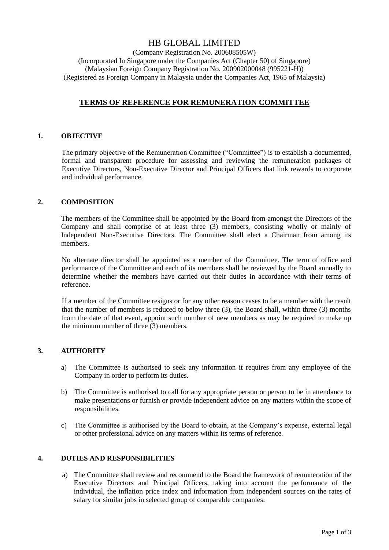# HB GLOBAL LIMITED

(Company Registration No. 200608505W) (Incorporated In Singapore under the Companies Act (Chapter 50) of Singapore) (Malaysian Foreign Company Registration No. 200902000048 (995221-H)) (Registered as Foreign Company in Malaysia under the Companies Act, 1965 of Malaysia)

# **TERMS OF REFERENCE FOR REMUNERATION COMMITTEE**

#### **1. OBJECTIVE**

The primary objective of the Remuneration Committee ("Committee") is to establish a documented, formal and transparent procedure for assessing and reviewing the remuneration packages of Executive Directors, Non-Executive Director and Principal Officers that link rewards to corporate and individual performance.

## **2. COMPOSITION**

The members of the Committee shall be appointed by the Board from amongst the Directors of the Company and shall comprise of at least three (3) members, consisting wholly or mainly of Independent Non-Executive Directors. The Committee shall elect a Chairman from among its members.

No alternate director shall be appointed as a member of the Committee. The term of office and performance of the Committee and each of its members shall be reviewed by the Board annually to determine whether the members have carried out their duties in accordance with their terms of reference.

If a member of the Committee resigns or for any other reason ceases to be a member with the result that the number of members is reduced to below three (3), the Board shall, within three (3) months from the date of that event, appoint such number of new members as may be required to make up the minimum number of three (3) members.

# **3. AUTHORITY**

- a) The Committee is authorised to seek any information it requires from any employee of the Company in order to perform its duties.
- b) The Committee is authorised to call for any appropriate person or person to be in attendance to make presentations or furnish or provide independent advice on any matters within the scope of responsibilities.
- c) The Committee is authorised by the Board to obtain, at the Company's expense, external legal or other professional advice on any matters within its terms of reference.

#### **4. DUTIES AND RESPONSIBILITIES**

a) The Committee shall review and recommend to the Board the framework of remuneration of the Executive Directors and Principal Officers, taking into account the performance of the individual, the inflation price index and information from independent sources on the rates of salary for similar jobs in selected group of comparable companies.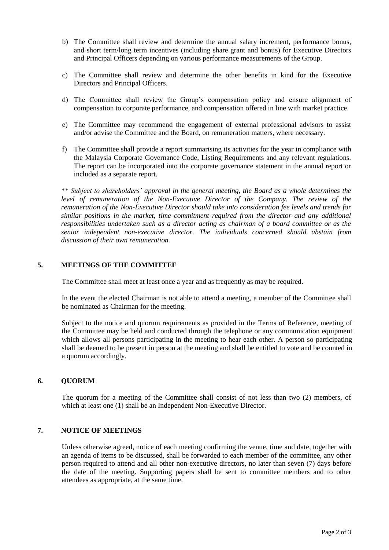- b) The Committee shall review and determine the annual salary increment, performance bonus, and short term/long term incentives (including share grant and bonus) for Executive Directors and Principal Officers depending on various performance measurements of the Group.
- c) The Committee shall review and determine the other benefits in kind for the Executive Directors and Principal Officers.
- d) The Committee shall review the Group's compensation policy and ensure alignment of compensation to corporate performance, and compensation offered in line with market practice.
- e) The Committee may recommend the engagement of external professional advisors to assist and/or advise the Committee and the Board, on remuneration matters, where necessary.
- f) The Committee shall provide a report summarising its activities for the year in compliance with the Malaysia Corporate Governance Code, Listing Requirements and any relevant regulations. The report can be incorporated into the corporate governance statement in the annual report or included as a separate report.

*\*\* Subject to shareholders' approval in the general meeting, the Board as a whole determines the level of remuneration of the Non-Executive Director of the Company. The review of the remuneration of the Non-Executive Director should take into consideration fee levels and trends for similar positions in the market, time commitment required from the director and any additional responsibilities undertaken such as a director acting as chairman of a board committee or as the senior independent non-executive director. The individuals concerned should abstain from discussion of their own remuneration.* 

## **5. MEETINGS OF THE COMMITTEE**

The Committee shall meet at least once a year and as frequently as may be required.

In the event the elected Chairman is not able to attend a meeting, a member of the Committee shall be nominated as Chairman for the meeting.

Subject to the notice and quorum requirements as provided in the Terms of Reference, meeting of the Committee may be held and conducted through the telephone or any communication equipment which allows all persons participating in the meeting to hear each other. A person so participating shall be deemed to be present in person at the meeting and shall be entitled to vote and be counted in a quorum accordingly.

#### **6. QUORUM**

The quorum for a meeting of the Committee shall consist of not less than two (2) members, of which at least one (1) shall be an Independent Non-Executive Director.

#### **7. NOTICE OF MEETINGS**

Unless otherwise agreed, notice of each meeting confirming the venue, time and date, together with an agenda of items to be discussed, shall be forwarded to each member of the committee, any other person required to attend and all other non-executive directors, no later than seven (7) days before the date of the meeting. Supporting papers shall be sent to committee members and to other attendees as appropriate, at the same time.